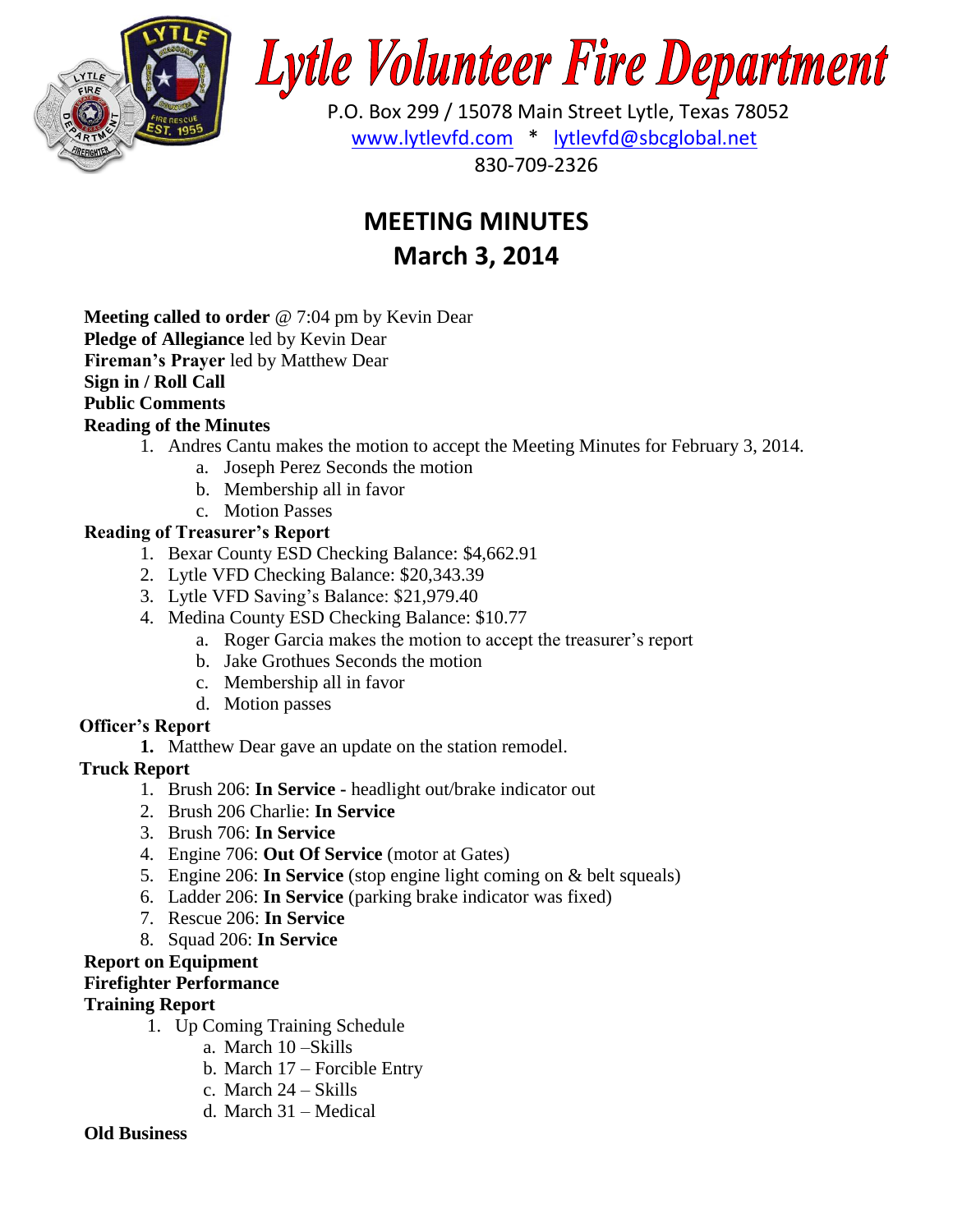

# **Lytle Volunteer Fire Department**

 P.O. Box 299 / 15078 Main Street Lytle, Texas 78052 [www.lytlevfd.com](http://www.lytlevfd.com/) \* [lytlevfd@sbcglobal.net](mailto:lytlevfd@sbcglobal.net) 830-709-2326

# **MEETING MINUTES March 3, 2014**

**Meeting called to order** @ 7:04 pm by Kevin Dear **Pledge of Allegiance** led by Kevin Dear **Fireman's Prayer** led by Matthew Dear **Sign in / Roll Call Public Comments Reading of the Minutes**

- 1. Andres Cantu makes the motion to accept the Meeting Minutes for February 3, 2014.
	- a. Joseph Perez Seconds the motion
	- b. Membership all in favor
	- c. Motion Passes

## **Reading of Treasurer's Report**

- 1. Bexar County ESD Checking Balance: \$4,662.91
- 2. Lytle VFD Checking Balance: \$20,343.39
- 3. Lytle VFD Saving's Balance: \$21,979.40
- 4. Medina County ESD Checking Balance: \$10.77
	- a. Roger Garcia makes the motion to accept the treasurer's report
	- b. Jake Grothues Seconds the motion
	- c. Membership all in favor
	- d. Motion passes

## **Officer's Report**

**1.** Matthew Dear gave an update on the station remodel.

## **Truck Report**

- 1. Brush 206: **In Service -** headlight out/brake indicator out
- 2. Brush 206 Charlie: **In Service**
- 3. Brush 706: **In Service**
- 4. Engine 706: **Out Of Service** (motor at Gates)
- 5. Engine 206: **In Service** (stop engine light coming on & belt squeals)
- 6. Ladder 206: **In Service** (parking brake indicator was fixed)
- 7. Rescue 206: **In Service**
- 8. Squad 206: **In Service**

## **Report on Equipment**

## **Firefighter Performance**

## **Training Report**

- 1. Up Coming Training Schedule
	- a. March 10 –Skills
	- b. March 17 Forcible Entry
	- c. March 24 Skills
	- d. March 31 Medical

## **Old Business**